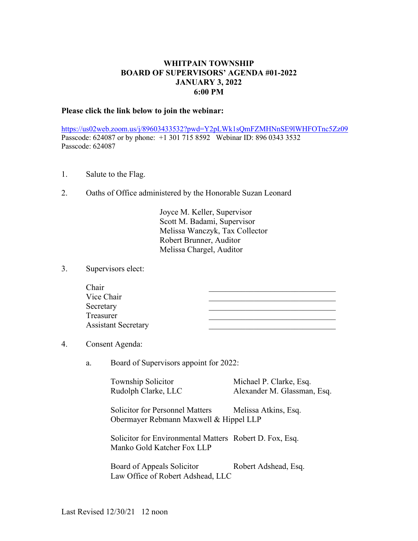## **WHITPAIN TOWNSHIP BOARD OF SUPERVISORS' AGENDA #01-2022 JANUARY 3, 2022 6:00 PM**

## **Please click the link below to join the webinar:**

<https://us02web.zoom.us/j/89603433532?pwd=Y2pLWk1sQmFZMHNnSE9lWHFOTnc5Zz09> Passcode: 624087 or by phone: +1 301 715 8592 Webinar ID: 896 0343 3532 Passcode: 624087

- 1. Salute to the Flag.
- 2. Oaths of Office administered by the Honorable Suzan Leonard

Joyce M. Keller, Supervisor Scott M. Badami, Supervisor Melissa Wanczyk, Tax Collector Robert Brunner, Auditor Melissa Chargel, Auditor

3. Supervisors elect:

| Chair                      |  |
|----------------------------|--|
| Vice Chair                 |  |
| Secretary                  |  |
| Treasurer                  |  |
| <b>Assistant Secretary</b> |  |

## 4. Consent Agenda:

a. Board of Supervisors appoint for 2022:

Township Solicitor Michael P. Clarke, Esq.

Rudolph Clarke, LLC Alexander M. Glassman, Esq.

Solicitor for Personnel Matters Melissa Atkins, Esq. Obermayer Rebmann Maxwell & Hippel LLP

Solicitor for Environmental Matters Robert D. Fox, Esq. Manko Gold Katcher Fox LLP

Board of Appeals Solicitor Robert Adshead, Esq. Law Office of Robert Adshead, LLC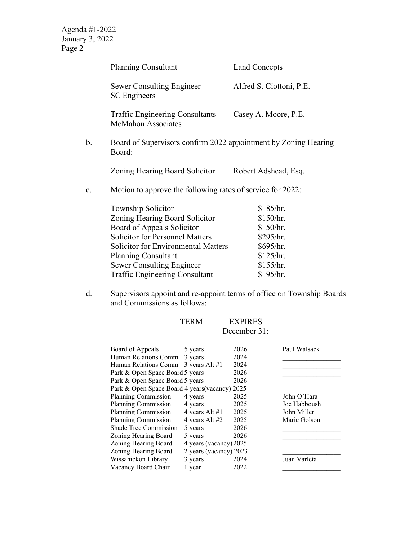|    | <b>Planning Consultant</b>                                                | <b>Land Concepts</b>     |  |  |
|----|---------------------------------------------------------------------------|--------------------------|--|--|
|    | <b>Sewer Consulting Engineer</b><br><b>SC</b> Engineers                   | Alfred S. Ciottoni, P.E. |  |  |
|    | <b>Traffic Engineering Consultants</b><br><b>McMahon Associates</b>       | Casey A. Moore, P.E.     |  |  |
| b. | Board of Supervisors confirm 2022 appointment by Zoning Hearing<br>Board: |                          |  |  |
|    | Zoning Hearing Board Solicitor                                            | Robert Adshead, Esq.     |  |  |
| c. | Motion to approve the following rates of service for 2022:                |                          |  |  |
|    | <b>Township Solicitor</b>                                                 | \$185/hr.                |  |  |
|    | Zoning Hearing Board Solicitor                                            | \$150/hr.                |  |  |
|    | Board of Appeals Solicitor                                                | \$150/hr.                |  |  |
|    | <b>Solicitor for Personnel Matters</b>                                    | \$295/hr.                |  |  |
|    | <b>Solicitor for Environmental Matters</b>                                | \$695/hr.                |  |  |
|    | <b>Planning Consultant</b>                                                | \$125/hr.                |  |  |
|    | <b>Sewer Consulting Engineer</b>                                          | \$155/hr.                |  |  |
|    | <b>Traffic Engineering Consultant</b>                                     | \$195/hr.                |  |  |
|    |                                                                           |                          |  |  |

d. Supervisors appoint and re-appoint terms of office on Township Boards and Commissions as follows:

| <b>TERM</b> | <b>EXPIRES</b> |  |
|-------------|----------------|--|
|             | December 31:   |  |

| Board of Appeals                               | 5 years                | 2026 | Paul Walsack |
|------------------------------------------------|------------------------|------|--------------|
| Human Relations Comm                           | 3 years                | 2024 |              |
| Human Relations Comm 3 years Alt #1            |                        | 2024 |              |
| Park & Open Space Board 5 years                |                        | 2026 |              |
| Park & Open Space Board 5 years                |                        | 2026 |              |
| Park & Open Space Board 4 years (vacancy) 2025 |                        |      |              |
| Planning Commission                            | 4 years                | 2025 | John O'Hara  |
| Planning Commission                            | 4 years                | 2025 | Joe Habboush |
| Planning Commission                            | 4 years Alt #1         | 2025 | John Miller  |
| Planning Commission                            | 4 years Alt #2         | 2025 | Marie Golson |
| Shade Tree Commission                          | 5 years                | 2026 |              |
| Zoning Hearing Board                           | 5 years                | 2026 |              |
| Zoning Hearing Board                           | 4 years (vacancy) 2025 |      |              |
| Zoning Hearing Board                           | 2 years (vacancy) 2023 |      |              |
| Wissahickon Library                            | 3 years                | 2024 | Juan Varleta |
| Vacancy Board Chair                            | 1 year                 | 2022 |              |
|                                                |                        |      |              |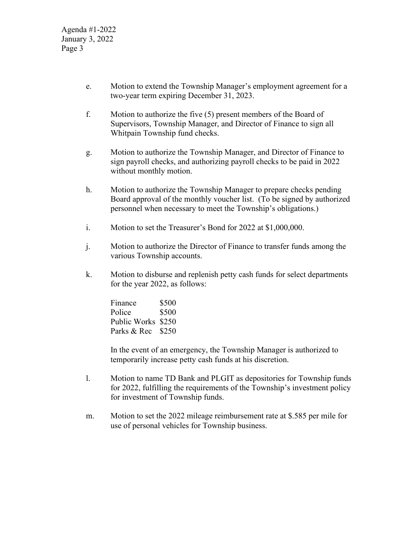- e. Motion to extend the Township Manager's employment agreement for a two-year term expiring December 31, 2023.
- f. Motion to authorize the five (5) present members of the Board of Supervisors, Township Manager, and Director of Finance to sign all Whitpain Township fund checks.
- g. Motion to authorize the Township Manager, and Director of Finance to sign payroll checks, and authorizing payroll checks to be paid in 2022 without monthly motion.
- h. Motion to authorize the Township Manager to prepare checks pending Board approval of the monthly voucher list. (To be signed by authorized personnel when necessary to meet the Township's obligations.)
- i. Motion to set the Treasurer's Bond for 2022 at \$1,000,000.
- j. Motion to authorize the Director of Finance to transfer funds among the various Township accounts.
- k. Motion to disburse and replenish petty cash funds for select departments for the year 2022, as follows:

| Finance            | \$500 |
|--------------------|-------|
| Police             | \$500 |
| Public Works \$250 |       |
| Parks & Rec \$250  |       |

In the event of an emergency, the Township Manager is authorized to temporarily increase petty cash funds at his discretion.

- l. Motion to name TD Bank and PLGIT as depositories for Township funds for 2022, fulfilling the requirements of the Township's investment policy for investment of Township funds.
- m. Motion to set the 2022 mileage reimbursement rate at \$.585 per mile for use of personal vehicles for Township business.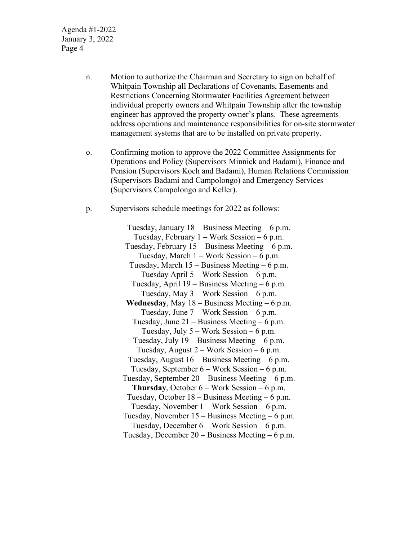- n. Motion to authorize the Chairman and Secretary to sign on behalf of Whitpain Township all Declarations of Covenants, Easements and Restrictions Concerning Stormwater Facilities Agreement between individual property owners and Whitpain Township after the township engineer has approved the property owner's plans. These agreements address operations and maintenance responsibilities for on-site stormwater management systems that are to be installed on private property.
- o. Confirming motion to approve the 2022 Committee Assignments for Operations and Policy (Supervisors Minnick and Badami), Finance and Pension (Supervisors Koch and Badami), Human Relations Commission (Supervisors Badami and Campolongo) and Emergency Services (Supervisors Campolongo and Keller).
- p. Supervisors schedule meetings for 2022 as follows:

Tuesday, January 18 – Business Meeting – 6 p.m. Tuesday, February  $1 - Work Session - 6 p.m.$ Tuesday, February  $15 - \text{Business Meeting} - 6 \text{ p.m.}$ Tuesday, March 1 – Work Session – 6 p.m. Tuesday, March 15 – Business Meeting – 6 p.m. Tuesday April 5 – Work Session – 6 p.m. Tuesday, April 19 – Business Meeting – 6 p.m. Tuesday, May 3 – Work Session – 6 p.m. **Wednesday**, May 18 – Business Meeting – 6 p.m. Tuesday, June 7 – Work Session – 6 p.m. Tuesday, June  $21 - \text{Business Meeting} - 6 \text{ p.m.}$ Tuesday, July  $5 -$  Work Session  $-6$  p.m. Tuesday, July 19 – Business Meeting – 6 p.m. Tuesday, August  $2 - Work Session - 6 p.m.$ Tuesday, August 16 – Business Meeting – 6 p.m. Tuesday, September 6 – Work Session – 6 p.m. Tuesday, September 20 – Business Meeting – 6 p.m. **Thursday**, October 6 – Work Session – 6 p.m. Tuesday, October 18 – Business Meeting – 6 p.m. Tuesday, November 1 – Work Session – 6 p.m. Tuesday, November 15 – Business Meeting – 6 p.m. Tuesday, December 6 – Work Session – 6 p.m. Tuesday, December 20 – Business Meeting – 6 p.m.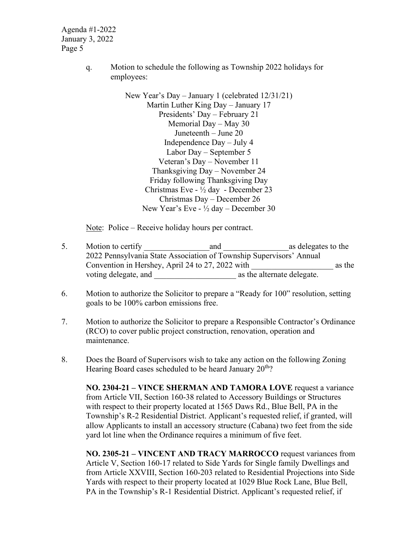> q. Motion to schedule the following as Township 2022 holidays for employees:

> > New Year's Day – January 1 (celebrated 12/31/21) Martin Luther King Day – January 17 Presidents' Day – February 21 Memorial Day – May 30 Juneteenth – June 20 Independence Day – July 4 Labor Day – September 5 Veteran's Day – November 11 Thanksgiving Day – November 24 Friday following Thanksgiving Day Christmas Eve - ½ day - December 23 Christmas Day – December 26 New Year's Eve - ½ day – December 30

Note: Police – Receive holiday hours per contract.

- 5. Motion to certify and and as delegates to the 2022 Pennsylvania State Association of Township Supervisors' Annual Convention in Hershey, April 24 to 27, 2022 with as the voting delegate, and  $\Box$  as the alternate delegate.
- 6. Motion to authorize the Solicitor to prepare a "Ready for 100" resolution, setting goals to be 100% carbon emissions free.
- 7. Motion to authorize the Solicitor to prepare a Responsible Contractor's Ordinance (RCO) to cover public project construction, renovation, operation and maintenance.
- 8. Does the Board of Supervisors wish to take any action on the following Zoning Hearing Board cases scheduled to be heard January  $20<sup>th</sup>$ ?

**NO. 2304-21 – VINCE SHERMAN AND TAMORA LOVE** request a variance from Article VII, Section 160-38 related to Accessory Buildings or Structures with respect to their property located at 1565 Daws Rd., Blue Bell, PA in the Township's R-2 Residential District. Applicant's requested relief, if granted, will allow Applicants to install an accessory structure (Cabana) two feet from the side yard lot line when the Ordinance requires a minimum of five feet.

**NO. 2305-21 – VINCENT AND TRACY MARROCCO** request variances from Article V, Section 160-17 related to Side Yards for Single family Dwellings and from Article XXVIII, Section 160-203 related to Residential Projections into Side Yards with respect to their property located at 1029 Blue Rock Lane, Blue Bell, PA in the Township's R-1 Residential District. Applicant's requested relief, if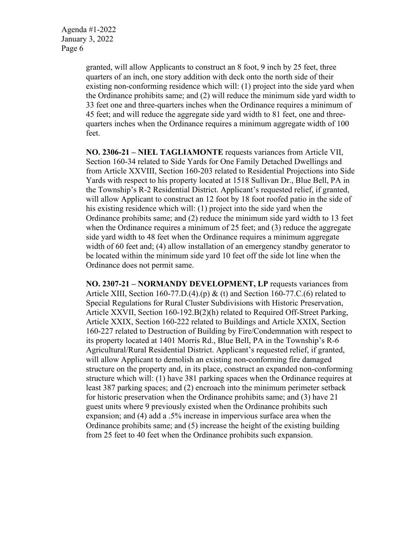> granted, will allow Applicants to construct an 8 foot, 9 inch by 25 feet, three quarters of an inch, one story addition with deck onto the north side of their existing non-conforming residence which will: (1) project into the side yard when the Ordinance prohibits same; and (2) will reduce the minimum side yard width to 33 feet one and three-quarters inches when the Ordinance requires a minimum of 45 feet; and will reduce the aggregate side yard width to 81 feet, one and threequarters inches when the Ordinance requires a minimum aggregate width of 100 feet.

> **NO. 2306-21 – NIEL TAGLIAMONTE** requests variances from Article VII, Section 160-34 related to Side Yards for One Family Detached Dwellings and from Article XXVIII, Section 160-203 related to Residential Projections into Side Yards with respect to his property located at 1518 Sullivan Dr., Blue Bell, PA in the Township's R-2 Residential District. Applicant's requested relief, if granted, will allow Applicant to construct an 12 foot by 18 foot roofed patio in the side of his existing residence which will: (1) project into the side yard when the Ordinance prohibits same; and (2) reduce the minimum side yard width to 13 feet when the Ordinance requires a minimum of 25 feet; and (3) reduce the aggregate side yard width to 48 feet when the Ordinance requires a minimum aggregate width of 60 feet and; (4) allow installation of an emergency standby generator to be located within the minimum side yard 10 feet off the side lot line when the Ordinance does not permit same.

> **NO. 2307-21 – NORMANDY DEVELOPMENT, LP** requests variances from Article XIII, Section 160-77.D.(4).(p) & (t) and Section 160-77.C.(6) related to Special Regulations for Rural Cluster Subdivisions with Historic Preservation, Article XXVII, Section 160-192.B(2)(h) related to Required Off-Street Parking, Article XXIX, Section 160-222 related to Buildings and Article XXIX, Section 160-227 related to Destruction of Building by Fire/Condemnation with respect to its property located at 1401 Morris Rd., Blue Bell, PA in the Township's R-6 Agricultural/Rural Residential District. Applicant's requested relief, if granted, will allow Applicant to demolish an existing non-conforming fire damaged structure on the property and, in its place, construct an expanded non-conforming structure which will: (1) have 381 parking spaces when the Ordinance requires at least 387 parking spaces; and (2) encroach into the minimum perimeter setback for historic preservation when the Ordinance prohibits same; and (3) have 21 guest units where 9 previously existed when the Ordinance prohibits such expansion; and (4) add a .5% increase in impervious surface area when the Ordinance prohibits same; and (5) increase the height of the existing building from 25 feet to 40 feet when the Ordinance prohibits such expansion.